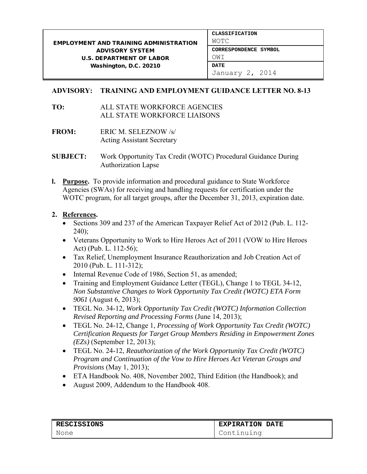## **ADVISORY: TRAINING AND EMPLOYMENT GUIDANCE LETTER NO. 8-13**

- **TO:** ALL STATE WORKFORCE AGENCIES ALL STATE WORKFORCE LIAISONS
- **FROM:** ERIC M. SELEZNOW /s/ Acting Assistant Secretary
- **SUBJECT:** Work Opportunity Tax Credit (WOTC) Procedural Guidance During Authorization Lapse
- **l. Purpose.** To provide information and procedural guidance to State Workforce Agencies (SWAs) for receiving and handling requests for certification under the WOTC program, for all target groups, after the December 31, 2013, expiration date.

## **2. References.**

- Sections 309 and 237 of the American Taxpayer Relief Act of 2012 (Pub. L. 112- 240);
- Veterans Opportunity to Work to Hire Heroes Act of 2011 (VOW to Hire Heroes Act) (Pub. L. 112-56);
- Tax Relief, Unemployment Insurance Reauthorization and Job Creation Act of 2010 (Pub. L. 111-312);
- Internal Revenue Code of 1986, Section 51, as amended;
- Training and Employment Guidance Letter (TEGL), Change 1 to TEGL 34-12, *Non Substantive Changes to Work Opportunity Tax Credit (WOTC) ETA Form 9061* (August 6, 2013);
- TEGL No. 34-12, *Work Opportunity Tax Credit (WOTC) Information Collection Revised Reporting and Processing Forms* (June 14, 2013);
- TEGL No. 24-12, Change 1, *Processing of Work Opportunity Tax Credit (WOTC) Certification Requests for Target Group Members Residing in Empowerment Zones (EZs)* (September 12, 2013);
- TEGL No. 24-12, *Reauthorization of the Work Opportunity Tax Credit (WOTC) Program and Continuation of the Vow to Hire Heroes Act Veteran Groups and Provisions* (May 1, 2013);
- ETA Handbook No. 408, November 2002, Third Edition (the Handbook); and
- August 2009, Addendum to the Handbook 408.

| <b>RESCISSIONS</b> | <b>EXPIRATION DATE</b> |
|--------------------|------------------------|
| None               | Continuing             |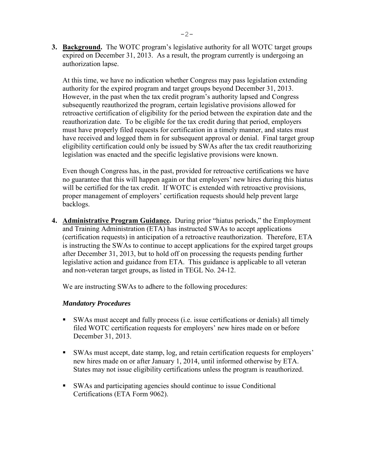**3. Background.** The WOTC program's legislative authority for all WOTC target groups expired on December 31, 2013. As a result, the program currently is undergoing an authorization lapse.

 At this time, we have no indication whether Congress may pass legislation extending authority for the expired program and target groups beyond December 31, 2013. However, in the past when the tax credit program's authority lapsed and Congress subsequently reauthorized the program, certain legislative provisions allowed for retroactive certification of eligibility for the period between the expiration date and the reauthorization date. To be eligible for the tax credit during that period, employers must have properly filed requests for certification in a timely manner, and states must have received and logged them in for subsequent approval or denial. Final target group eligibility certification could only be issued by SWAs after the tax credit reauthorizing legislation was enacted and the specific legislative provisions were known.

Even though Congress has, in the past, provided for retroactive certifications we have no guarantee that this will happen again or that employers' new hires during this hiatus will be certified for the tax credit. If WOTC is extended with retroactive provisions, proper management of employers' certification requests should help prevent large backlogs.

**4. Administrative Program Guidance.** During prior "hiatus periods," the Employment and Training Administration (ETA) has instructed SWAs to accept applications (certification requests) in anticipation of a retroactive reauthorization. Therefore, ETA is instructing the SWAs to continue to accept applications for the expired target groups after December 31, 2013, but to hold off on processing the requests pending further legislative action and guidance from ETA. This guidance is applicable to all veteran and non-veteran target groups, as listed in TEGL No. 24-12.

We are instructing SWAs to adhere to the following procedures:

## *Mandatory Procedures*

- SWAs must accept and fully process (i.e. issue certifications or denials) all timely filed WOTC certification requests for employers' new hires made on or before December 31, 2013.
- SWAs must accept, date stamp, log, and retain certification requests for employers' new hires made on or after January 1, 2014, until informed otherwise by ETA. States may not issue eligibility certifications unless the program is reauthorized.
- SWAs and participating agencies should continue to issue Conditional Certifications (ETA Form 9062).